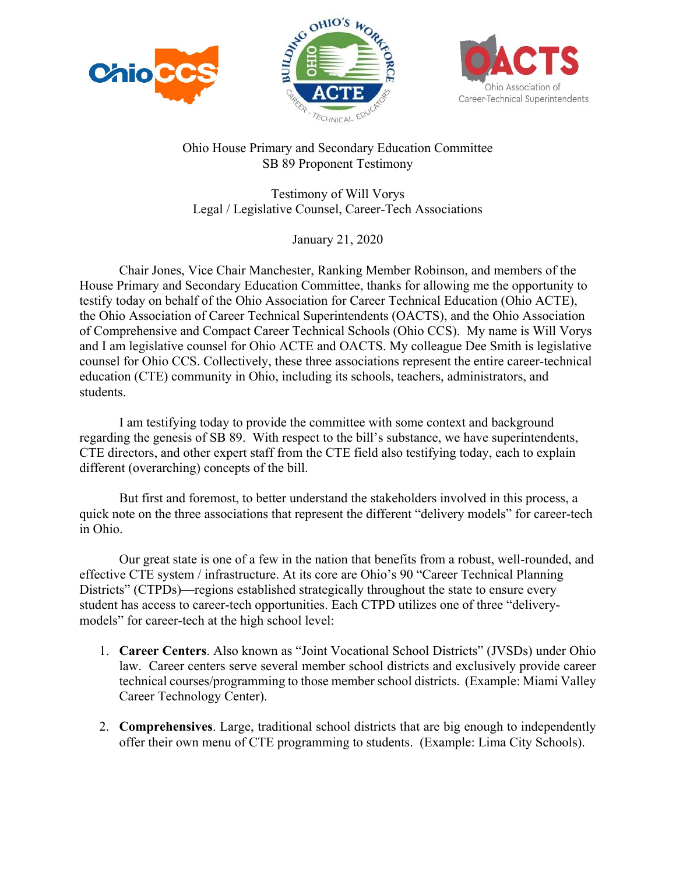





## Ohio House Primary and Secondary Education Committee SB 89 Proponent Testimony

Testimony of Will Vorys Legal / Legislative Counsel, Career-Tech Associations

January 21, 2020

 Chair Jones, Vice Chair Manchester, Ranking Member Robinson, and members of the House Primary and Secondary Education Committee, thanks for allowing me the opportunity to testify today on behalf of the Ohio Association for Career Technical Education (Ohio ACTE), the Ohio Association of Career Technical Superintendents (OACTS), and the Ohio Association of Comprehensive and Compact Career Technical Schools (Ohio CCS). My name is Will Vorys and I am legislative counsel for Ohio ACTE and OACTS. My colleague Dee Smith is legislative counsel for Ohio CCS. Collectively, these three associations represent the entire career-technical education (CTE) community in Ohio, including its schools, teachers, administrators, and students.

 I am testifying today to provide the committee with some context and background regarding the genesis of SB 89. With respect to the bill's substance, we have superintendents, CTE directors, and other expert staff from the CTE field also testifying today, each to explain different (overarching) concepts of the bill.

 But first and foremost, to better understand the stakeholders involved in this process, a quick note on the three associations that represent the different "delivery models" for career-tech in Ohio.

 Our great state is one of a few in the nation that benefits from a robust, well-rounded, and effective CTE system / infrastructure. At its core are Ohio's 90 "Career Technical Planning Districts" (CTPDs)—regions established strategically throughout the state to ensure every student has access to career-tech opportunities. Each CTPD utilizes one of three "deliverymodels" for career-tech at the high school level:

- 1. **Career Centers**. Also known as "Joint Vocational School Districts" (JVSDs) under Ohio law. Career centers serve several member school districts and exclusively provide career technical courses/programming to those member school districts. (Example: Miami Valley Career Technology Center).
- 2. **Comprehensives**. Large, traditional school districts that are big enough to independently offer their own menu of CTE programming to students. (Example: Lima City Schools).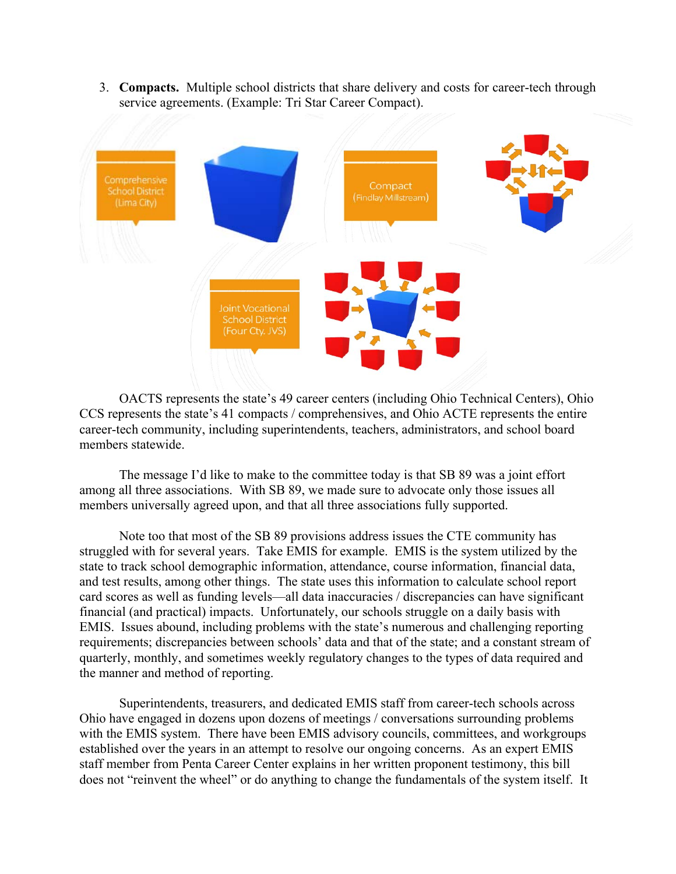3. **Compacts.** Multiple school districts that share delivery and costs for career-tech through service agreements. (Example: Tri Star Career Compact).



 OACTS represents the state's 49 career centers (including Ohio Technical Centers), Ohio CCS represents the state's 41 compacts / comprehensives, and Ohio ACTE represents the entire career-tech community, including superintendents, teachers, administrators, and school board members statewide.

 The message I'd like to make to the committee today is that SB 89 was a joint effort among all three associations. With SB 89, we made sure to advocate only those issues all members universally agreed upon, and that all three associations fully supported.

 Note too that most of the SB 89 provisions address issues the CTE community has struggled with for several years. Take EMIS for example. EMIS is the system utilized by the state to track school demographic information, attendance, course information, financial data, and test results, among other things. The state uses this information to calculate school report card scores as well as funding levels—all data inaccuracies / discrepancies can have significant financial (and practical) impacts. Unfortunately, our schools struggle on a daily basis with EMIS. Issues abound, including problems with the state's numerous and challenging reporting requirements; discrepancies between schools' data and that of the state; and a constant stream of quarterly, monthly, and sometimes weekly regulatory changes to the types of data required and the manner and method of reporting.

 Superintendents, treasurers, and dedicated EMIS staff from career-tech schools across Ohio have engaged in dozens upon dozens of meetings / conversations surrounding problems with the EMIS system. There have been EMIS advisory councils, committees, and workgroups established over the years in an attempt to resolve our ongoing concerns. As an expert EMIS staff member from Penta Career Center explains in her written proponent testimony, this bill does not "reinvent the wheel" or do anything to change the fundamentals of the system itself. It